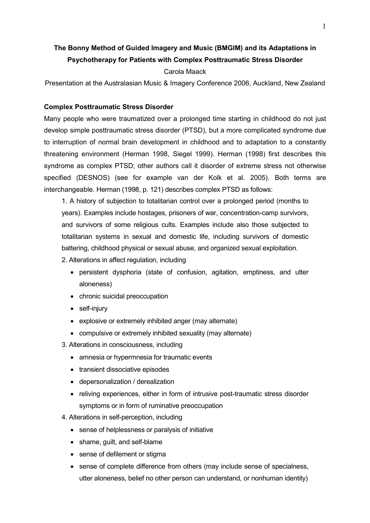# **The Bonny Method of Guided Imagery and Music (BMGIM) and its Adaptations in Psychotherapy for Patients with Complex Posttraumatic Stress Disorder**

### Carola Maack

Presentation at the Australasian Music & Imagery Conference 2006, Auckland, New Zealand

#### **Complex Posttraumatic Stress Disorder**

Many people who were traumatized over a prolonged time starting in childhood do not just develop simple posttraumatic stress disorder (PTSD), but a more complicated syndrome due to interruption of normal brain development in childhood and to adaptation to a constantly threatening environment (Herman 1998, Siegel 1999). Herman (1998) first describes this syndrome as complex PTSD; other authors call it disorder of extreme stress not otherwise specified (DESNOS) (see for example van der Kolk et al. 2005). Both terms are interchangeable. Herman (1998, p. 121) describes complex PTSD as follows:

1. A history of subjection to totalitarian control over a prolonged period (months to years). Examples include hostages, prisoners of war, concentration-camp survivors, and survivors of some religious cults. Examples include also those subjected to totalitarian systems in sexual and domestic life, including survivors of domestic battering, childhood physical or sexual abuse, and organized sexual exploitation.

- 2. Alterations in affect regulation, including
	- persistent dysphoria (state of confusion, agitation, emptiness, and utter aloneness)
	- chronic suicidal preoccupation
	- self-injury
	- explosive or extremely inhibited anger (may alternate)
	- compulsive or extremely inhibited sexuality (may alternate)
- 3. Alterations in consciousness, including
	- amnesia or hypermnesia for traumatic events
	- transient dissociative episodes
	- depersonalization / derealization
	- reliving experiences, either in form of intrusive post-traumatic stress disorder symptoms or in form of ruminative preoccupation
- 4. Alterations in self-perception, including
	- sense of helplessness or paralysis of initiative
	- shame, guilt, and self-blame
	- sense of defilement or stigma
	- sense of complete difference from others (may include sense of specialness, utter aloneness, belief no other person can understand, or nonhuman identity)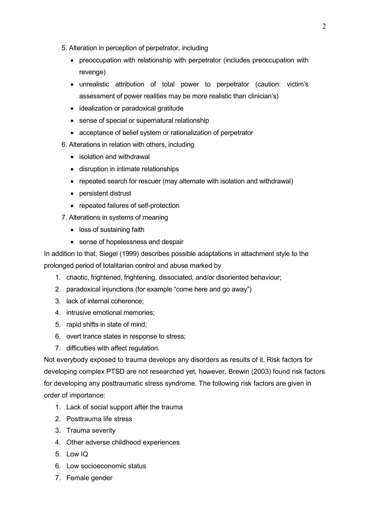- 5. Alteration in perception of perpetrator, including
	- preoccupation with relationship with perpetrator (includes preoccupation with revenge)
	- unrealistic attribution of total power to perpetrator (caution: victim's assessment of power realities may be more realistic than clinician's)
	- idealization or paradoxical gratitude
	- sense of special or supernatural relationship
	- acceptance of belief system or rationalization of perpetrator
- 6. Alterations in relation with others, including
	- isolation and withdrawal
	- disruption in intimate relationships
	- repeated search for rescuer (may alternate with isolation and withdrawal)
	- persistent distrust
	- repeated failures of self-protection
- 7. Alterations in systems of meaning
	- loss of sustaining faith
	- sense of hopelessness and despair

In addition to that, Siegel (1999) describes possible adaptations in attachment style to the prolonged period of totalitarian control and abuse marked by

- 1. chaotic, frightened, frightening, dissociated, and/or disoriented behaviour;
- 2. paradoxical injunctions (for example "come here and go away")
- 3. lack of internal coherence;
- 4. intrusive emotional memories;
- 5. rapid shifts in state of mind;
- 6. overt trance states in response to stress;
- 7. difficulties with affect regulation.

Not everybody exposed to trauma develops any disorders as results of it. Risk factors for developing complex PTSD are not researched yet, however, Brewin (2003) found risk factors for developing any posttraumatic stress syndrome. The following risk factors are given in order of importance:

- 1. Lack of social support after the trauma
- 2. Posttrauma life stress
- 3. Trauma severity
- 4. Other adverse childhood experiences
- 5. Low IQ
- 6. Low socioeconomic status
- 7. Female gender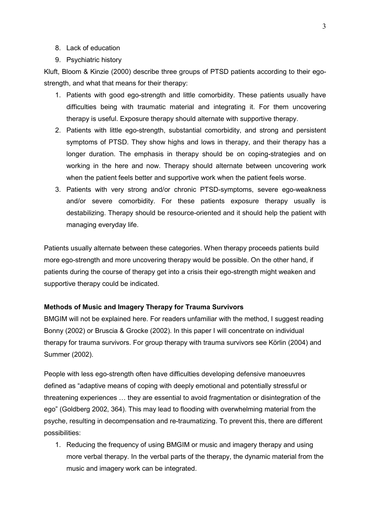- 8. Lack of education
- 9. Psychiatric history

Kluft, Bloom & Kinzie (2000) describe three groups of PTSD patients according to their egostrength, and what that means for their therapy:

- 1. Patients with good ego-strength and little comorbidity. These patients usually have difficulties being with traumatic material and integrating it. For them uncovering therapy is useful. Exposure therapy should alternate with supportive therapy.
- 2. Patients with little ego-strength, substantial comorbidity, and strong and persistent symptoms of PTSD. They show highs and lows in therapy, and their therapy has a longer duration. The emphasis in therapy should be on coping-strategies and on working in the here and now. Therapy should alternate between uncovering work when the patient feels better and supportive work when the patient feels worse.
- 3. Patients with very strong and/or chronic PTSD-symptoms, severe ego-weakness and/or severe comorbidity. For these patients exposure therapy usually is destabilizing. Therapy should be resource-oriented and it should help the patient with managing everyday life.

Patients usually alternate between these categories. When therapy proceeds patients build more ego-strength and more uncovering therapy would be possible. On the other hand, if patients during the course of therapy get into a crisis their ego-strength might weaken and supportive therapy could be indicated.

## **Methods of Music and Imagery Therapy for Trauma Survivors**

BMGIM will not be explained here. For readers unfamiliar with the method, I suggest reading Bonny (2002) or Bruscia & Grocke (2002). In this paper I will concentrate on individual therapy for trauma survivors. For group therapy with trauma survivors see Körlin (2004) and Summer (2002).

People with less ego-strength often have difficulties developing defensive manoeuvres defined as "adaptive means of coping with deeply emotional and potentially stressful or threatening experiences  $\dots$  they are essential to avoid fragmentation or disintegration of the ego" (Goldberg 2002, 364). This may lead to flooding with overwhelming material from the psyche, resulting in decompensation and re-traumatizing. To prevent this, there are different possibilities:

1. Reducing the frequency of using BMGIM or music and imagery therapy and using more verbal therapy. In the verbal parts of the therapy, the dynamic material from the music and imagery work can be integrated.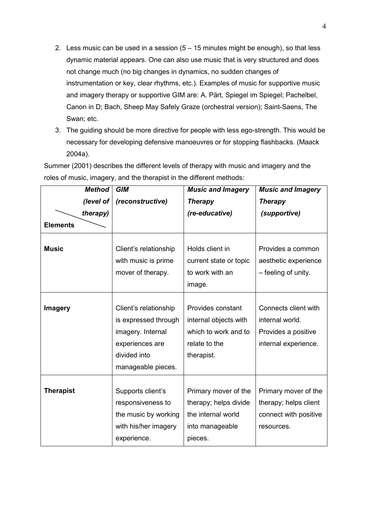- 2. Less music can be used in a session  $(5 15$  minutes might be enough), so that less dynamic material appears. One can also use music that is very structured and does not change much (no big changes in dynamics, no sudden changes of instrumentation or key, clear rhythms, etc.). Examples of music for supportive music and imagery therapy or supportive GIM are: A. Pärt, Spiegel im Spiegel; Pachelbel, Canon in D; Bach, Sheep May Safely Graze (orchestral version); Saint-Saens, The Swan; etc.
- 3. The guiding should be more directive for people with less ego-strength. This would be necessary for developing defensive manoeuvres or for stopping flashbacks. (Maack 2004a).

Summer (2001) describes the different levels of therapy with music and imagery and the roles of music, imagery, and the therapist in the different methods:

| <b>Method</b>    | <b>GIM</b>                                                                                                                  | <b>Music and Imagery</b>                                                                          | <b>Music and Imagery</b>                                                               |
|------------------|-----------------------------------------------------------------------------------------------------------------------------|---------------------------------------------------------------------------------------------------|----------------------------------------------------------------------------------------|
| (level of        | (reconstructive)                                                                                                            | <b>Therapy</b>                                                                                    | <b>Therapy</b>                                                                         |
| therapy)         |                                                                                                                             | (re-educative)                                                                                    | (supportive)                                                                           |
| <b>Elements</b>  |                                                                                                                             |                                                                                                   |                                                                                        |
| <b>Music</b>     | Client's relationship<br>with music is prime<br>mover of therapy.                                                           | Holds client in<br>current state or topic<br>to work with an<br>image.                            | Provides a common<br>aesthetic experience<br>- feeling of unity.                       |
| <b>Imagery</b>   | Client's relationship<br>is expressed through<br>imagery. Internal<br>experiences are<br>divided into<br>manageable pieces. | Provides constant<br>internal objects with<br>which to work and to<br>relate to the<br>therapist. | Connects client with<br>internal world.<br>Provides a positive<br>internal experience. |
| <b>Therapist</b> | Supports client's<br>responsiveness to<br>the music by working<br>with his/her imagery<br>experience.                       | Primary mover of the<br>therapy; helps divide<br>the internal world<br>into manageable<br>pieces. | Primary mover of the<br>therapy; helps client<br>connect with positive<br>resources.   |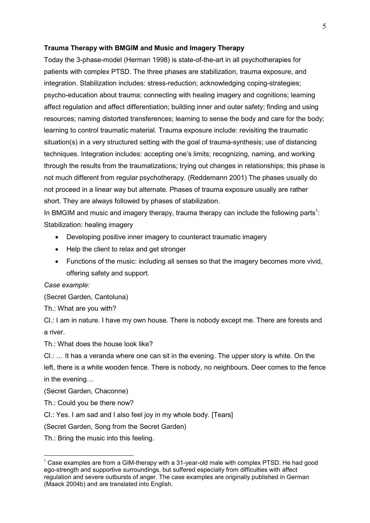#### **Trauma Therapy with BMGIM and Music and Imagery Therapy**

Today the 3-phase-model (Herman 1998) is state-of-the-art in all psychotherapies for patients with complex PTSD. The three phases are stabilization, trauma exposure, and integration. Stabilization includes: stress-reduction; acknowledging coping-strategies; psycho-education about trauma; connecting with healing imagery and cognitions; learning affect regulation and affect differentiation; building inner and outer safety; finding and using resources; naming distorted transferences; learning to sense the body and care for the body; learning to control traumatic material. Trauma exposure include: revisiting the traumatic situation(s) in a very structured setting with the goal of trauma-synthesis; use of distancing techniques. Integration includes: accepting one's limits; recognizing, naming, and working through the results from the traumatizations; trying out changes in relationships; this phase is not much different from regular psychotherapy. (Reddemann 2001) The phases usually do not proceed in a linear way but alternate. Phases of trauma exposure usually are rather short. They are always followed by phases of stabilization.

In BMGIM and music and imagery therapy, trauma therapy can include the following parts<sup>1</sup>: Stabilization: healing imagery

- Developing positive inner imagery to counteract traumatic imagery
- Help the client to relax and get stronger
- Functions of the music: including all senses so that the imagery becomes more vivid, offering safety and support.

## *Case example:*

(Secret Garden, Cantoluna)

Th.: What are you with?

Cl.: I am in nature. I have my own house. There is nobody except me. There are forests and a river.

Th.: What does the house look like?

CI.: ... It has a veranda where one can sit in the evening. The upper story is white. On the

left, there is a white wooden fence. There is nobody, no neighbours. Deer comes to the fence in the evening...

(Secret Garden, Chaconne)

l.

- Th.: Could you be there now?
- Cl.: Yes. I am sad and I also feel joy in my whole body. [Tears]

(Secret Garden, Song from the Secret Garden)

Th.: Bring the music into this feeling.

 $1$  Case examples are from a GIM-therapy with a 31-year-old male with complex PTSD. He had good ego-strength and supportive surroundings, but suffered especially from difficulties with affect regulation and severe outbursts of anger. The case examples are originally published in German (Maack 2004b) and are translated into English.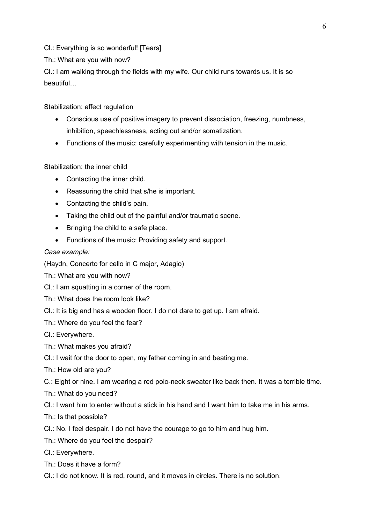Cl.: Everything is so wonderful! [Tears]

Th.: What are you with now?

Cl.: I am walking through the fields with my wife. Our child runs towards us. It is so  $beautiful...$ 

Stabilization: affect regulation

- Conscious use of positive imagery to prevent dissociation, freezing, numbness, inhibition, speechlessness, acting out and/or somatization.
- Functions of the music: carefully experimenting with tension in the music.

Stabilization: the inner child

- Contacting the inner child.
- Reassuring the child that s/he is important.
- Contacting the child's pain.
- Taking the child out of the painful and/or traumatic scene.
- Bringing the child to a safe place.
- Functions of the music: Providing safety and support.

## *Case example:*

(Haydn, Concerto for cello in C major, Adagio)

Th.: What are you with now?

- Cl.: I am squatting in a corner of the room.
- Th.: What does the room look like?
- Cl.: It is big and has a wooden floor. I do not dare to get up. I am afraid.
- Th.: Where do you feel the fear?
- Cl.: Everywhere.
- Th.: What makes you afraid?
- Cl.: I wait for the door to open, my father coming in and beating me.
- Th.: How old are you?
- C.: Eight or nine. I am wearing a red polo-neck sweater like back then. It was a terrible time.
- Th.: What do you need?
- Cl.: I want him to enter without a stick in his hand and I want him to take me in his arms.
- Th.: Is that possible?
- Cl.: No. I feel despair. I do not have the courage to go to him and hug him.
- Th.: Where do you feel the despair?
- Cl.: Everywhere.
- Th.: Does it have a form?
- Cl.: I do not know. It is red, round, and it moves in circles. There is no solution.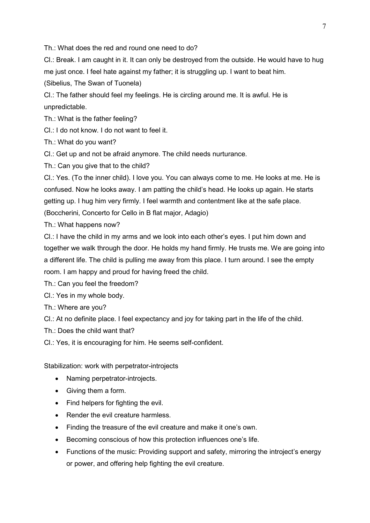Th.: What does the red and round one need to do?

Cl.: Break. I am caught in it. It can only be destroyed from the outside. He would have to hug me just once. I feel hate against my father; it is struggling up. I want to beat him. (Sibelius, The Swan of Tuonela)

Cl.: The father should feel my feelings. He is circling around me. It is awful. He is unpredictable.

Th.: What is the father feeling?

Cl.: I do not know. I do not want to feel it.

Th.: What do you want?

Cl.: Get up and not be afraid anymore. The child needs nurturance.

Th.: Can you give that to the child?

Cl.: Yes. (To the inner child). I love you. You can always come to me. He looks at me. He is confused. Now he looks away. I am patting the child's head. He looks up again. He starts getting up. I hug him very firmly. I feel warmth and contentment like at the safe place. (Boccherini, Concerto for Cello in B flat major, Adagio)

Th.: What happens now?

Cl.: I have the child in my arms and we look into each other's eyes. I put him down and together we walk through the door. He holds my hand firmly. He trusts me. We are going into a different life. The child is pulling me away from this place. I turn around. I see the empty room. I am happy and proud for having freed the child.

Th.: Can you feel the freedom?

Cl.: Yes in my whole body.

Th.: Where are you?

Cl.: At no definite place. I feel expectancy and joy for taking part in the life of the child.

Th.: Does the child want that?

Cl.: Yes, it is encouraging for him. He seems self-confident.

Stabilization: work with perpetrator-introjects

- Naming perpetrator-introjects.
- Giving them a form.
- Find helpers for fighting the evil.
- Render the evil creature harmless.
- Finding the treasure of the evil creature and make it one's own.
- Becoming conscious of how this protection influences one's life.
- Functions of the music: Providing support and safety, mirroring the introject's energy or power, and offering help fighting the evil creature.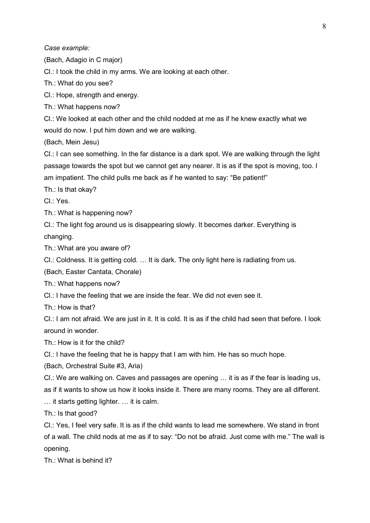*Case example:* 

(Bach, Adagio in C major)

Cl.: I took the child in my arms. We are looking at each other.

Th.: What do you see?

Cl.: Hope, strength and energy.

Th.: What happens now?

Cl.: We looked at each other and the child nodded at me as if he knew exactly what we would do now. I put him down and we are walking.

(Bach, Mein Jesu)

Cl.: I can see something. In the far distance is a dark spot. We are walking through the light passage towards the spot but we cannot get any nearer. It is as if the spot is moving, too. I am impatient. The child pulls me back as if he wanted to say: "Be patient!"

Th.: Is that okay?

Cl.: Yes.

Th.: What is happening now?

Cl.: The light fog around us is disappearing slowly. It becomes darker. Everything is changing.

Th.: What are you aware of?

CI.: Coldness. It is getting cold. ... It is dark. The only light here is radiating from us.

(Bach, Easter Cantata, Chorale)

Th.: What happens now?

Cl.: I have the feeling that we are inside the fear. We did not even see it.

Th  $\cdot$  How is that?

Cl.: I am not afraid. We are just in it. It is cold. It is as if the child had seen that before. I look around in wonder.

Th.: How is it for the child?

Cl.: I have the feeling that he is happy that I am with him. He has so much hope.

(Bach, Orchestral Suite #3, Aria)

Cl.: We are walking on. Caves and passages are opening  $\ldots$  it is as if the fear is leading us, as if it wants to show us how it looks inside it. There are many rooms. They are all different.

 $\ldots$  it starts getting lighter.  $\ldots$  it is calm.

Th.: Is that good?

Cl.: Yes, I feel very safe. It is as if the child wants to lead me somewhere. We stand in front of a wall. The child nods at me as if to say: "Do not be afraid. Just come with me." The wall is opening.

Th.: What is behind it?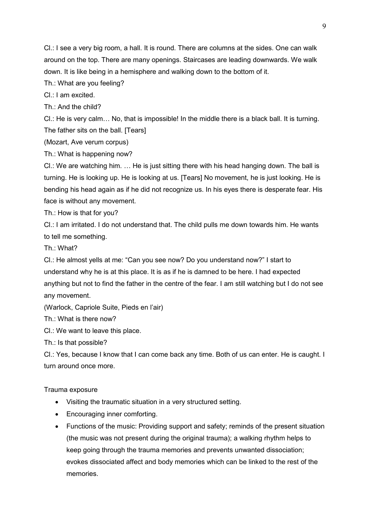Cl.: I see a very big room, a hall. It is round. There are columns at the sides. One can walk around on the top. There are many openings. Staircases are leading downwards. We walk down. It is like being in a hemisphere and walking down to the bottom of it.

Th.: What are you feeling?

Cl.: I am excited.

Th.: And the child?

Cl.: He is very calm... No, that is impossible! In the middle there is a black ball. It is turning. The father sits on the ball. [Tears]

(Mozart, Ave verum corpus)

Th.: What is happening now?

Cl.: We are watching him.  $\ldots$  He is just sitting there with his head hanging down. The ball is turning. He is looking up. He is looking at us. [Tears] No movement, he is just looking. He is bending his head again as if he did not recognize us. In his eyes there is desperate fear. His face is without any movement.

Th.: How is that for you?

Cl.: I am irritated. I do not understand that. The child pulls me down towards him. He wants to tell me something.

Th.: What?

Cl.: He almost yells at me: "Can you see now? Do you understand now?" I start to understand why he is at this place. It is as if he is damned to be here. I had expected anything but not to find the father in the centre of the fear. I am still watching but I do not see any movement.

(Warlock, Capriole Suite, Pieds en l'air)

Th.: What is there now?

Cl.: We want to leave this place.

Th.: Is that possible?

Cl.: Yes, because I know that I can come back any time. Both of us can enter. He is caught. I turn around once more.

Trauma exposure

- Visiting the traumatic situation in a very structured setting.
- Encouraging inner comforting.
- Functions of the music: Providing support and safety; reminds of the present situation (the music was not present during the original trauma); a walking rhythm helps to keep going through the trauma memories and prevents unwanted dissociation; evokes dissociated affect and body memories which can be linked to the rest of the memories.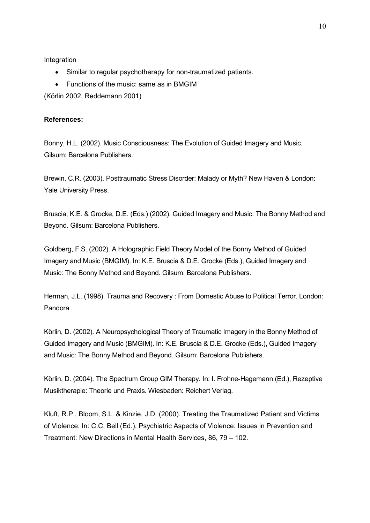**Integration** 

- Similar to regular psychotherapy for non-traumatized patients.
- Functions of the music: same as in BMGIM

(Körlin 2002, Reddemann 2001)

#### **References:**

Bonny, H.L. (2002). Music Consciousness: The Evolution of Guided Imagery and Music. Gilsum: Barcelona Publishers.

Brewin, C.R. (2003). Posttraumatic Stress Disorder: Malady or Myth? New Haven & London: Yale University Press.

Bruscia, K.E. & Grocke, D.E. (Eds.) (2002). Guided Imagery and Music: The Bonny Method and Beyond. Gilsum: Barcelona Publishers.

Goldberg, F.S. (2002). A Holographic Field Theory Model of the Bonny Method of Guided Imagery and Music (BMGIM). In: K.E. Bruscia & D.E. Grocke (Eds.), Guided Imagery and Music: The Bonny Method and Beyond. Gilsum: Barcelona Publishers.

Herman, J.L. (1998). Trauma and Recovery : From Domestic Abuse to Political Terror. London: Pandora.

Körlin, D. (2002). A Neuropsychological Theory of Traumatic Imagery in the Bonny Method of Guided Imagery and Music (BMGIM). In: K.E. Bruscia & D.E. Grocke (Eds.), Guided Imagery and Music: The Bonny Method and Beyond. Gilsum: Barcelona Publishers.

Körlin, D. (2004). The Spectrum Group GIM Therapy. In: I. Frohne-Hagemann (Ed.), Rezeptive Musiktherapie: Theorie und Praxis. Wiesbaden: Reichert Verlag.

Kluft, R.P., Bloom, S.L. & Kinzie, J.D. (2000). Treating the Traumatized Patient and Victims of Violence. In: C.C. Bell (Ed.), Psychiatric Aspects of Violence: Issues in Prevention and Treatment: New Directions in Mental Health Services, 86, 79 – 102.